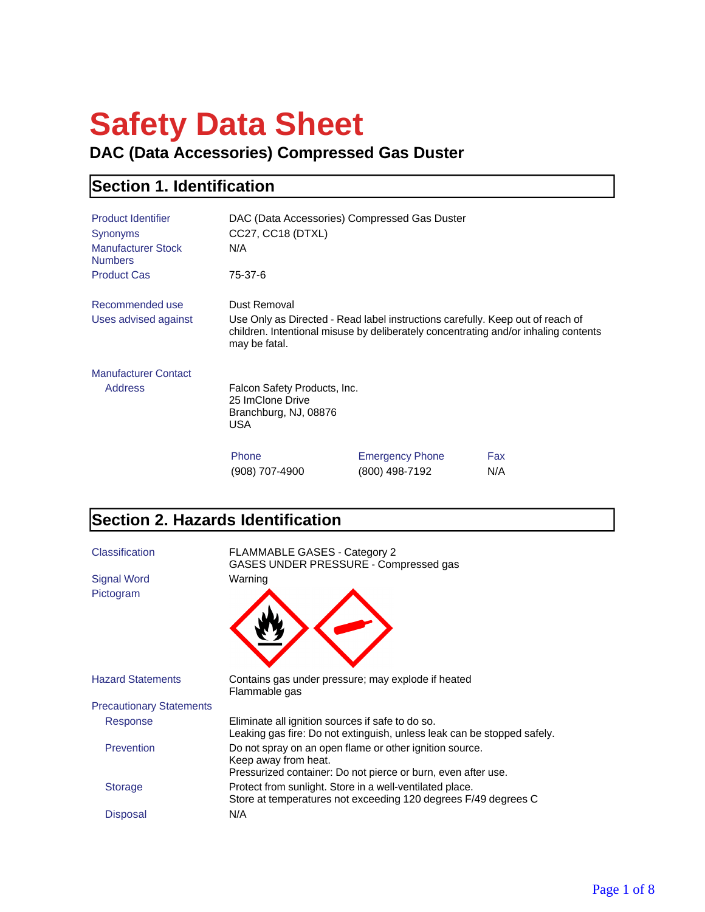# **Safety Data Sheet**

**DAC (Data Accessories) Compressed Gas Duster**

#### **Section 1. Identification**

| <b>Product Identifier</b><br>Synonyms<br><b>Manufacturer Stock</b><br><b>Numbers</b> | DAC (Data Accessories) Compressed Gas Duster<br>CC27, CC18 (DTXL)<br>N/A          |                                                                                                                                                                       |     |
|--------------------------------------------------------------------------------------|-----------------------------------------------------------------------------------|-----------------------------------------------------------------------------------------------------------------------------------------------------------------------|-----|
| <b>Product Cas</b>                                                                   | 75-37-6                                                                           |                                                                                                                                                                       |     |
| Recommended use                                                                      | Dust Removal                                                                      |                                                                                                                                                                       |     |
| Uses advised against                                                                 | may be fatal.                                                                     | Use Only as Directed - Read label instructions carefully. Keep out of reach of<br>children. Intentional misuse by deliberately concentrating and/or inhaling contents |     |
| <b>Manufacturer Contact</b>                                                          |                                                                                   |                                                                                                                                                                       |     |
| <b>Address</b>                                                                       | Falcon Safety Products, Inc.<br>25 ImClone Drive<br>Branchburg, NJ, 08876<br>USA. |                                                                                                                                                                       |     |
|                                                                                      | Phone                                                                             | <b>Emergency Phone</b>                                                                                                                                                | Fax |
|                                                                                      | (908) 707-4900                                                                    | (800) 498-7192                                                                                                                                                        | N/A |

#### **Section 2. Hazards Identification**

| Classification                  | <b>FLAMMABLE GASES - Category 2</b><br>GASES UNDER PRESSURE - Compressed gas                                                                     |
|---------------------------------|--------------------------------------------------------------------------------------------------------------------------------------------------|
| <b>Signal Word</b>              | Warning                                                                                                                                          |
| Pictogram                       |                                                                                                                                                  |
| <b>Hazard Statements</b>        | Contains gas under pressure; may explode if heated<br>Flammable gas                                                                              |
| <b>Precautionary Statements</b> |                                                                                                                                                  |
| Response                        | Eliminate all ignition sources if safe to do so.<br>Leaking gas fire: Do not extinguish, unless leak can be stopped safely.                      |
| Prevention                      | Do not spray on an open flame or other ignition source.<br>Keep away from heat.<br>Pressurized container: Do not pierce or burn, even after use. |
| <b>Storage</b>                  | Protect from sunlight. Store in a well-ventilated place.<br>Store at temperatures not exceeding 120 degrees F/49 degrees C                       |
| Disposal                        | N/A                                                                                                                                              |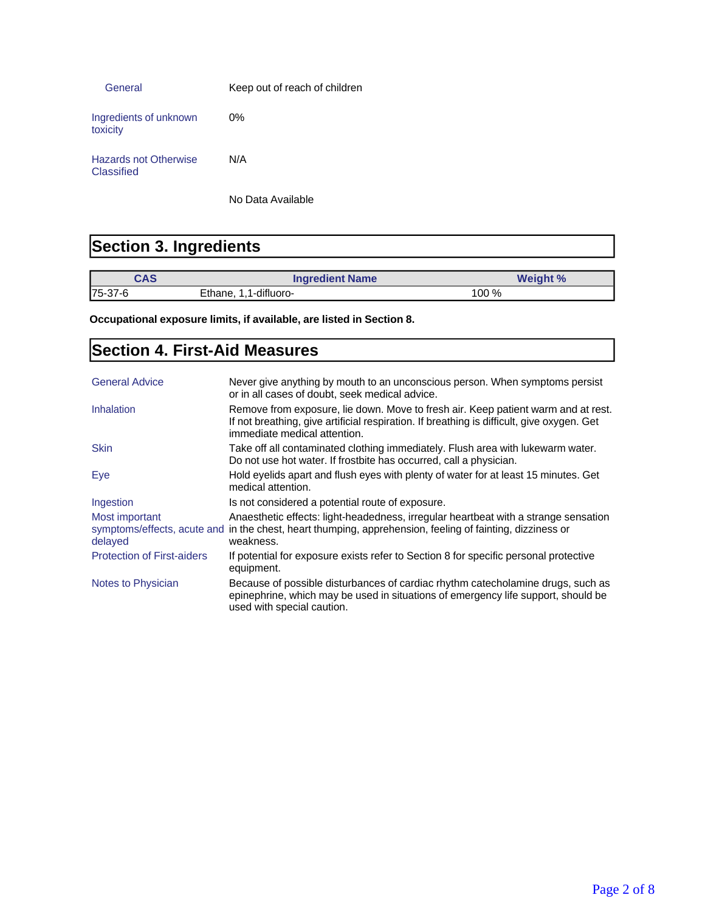| General                                    | Keep out of reach of children |
|--------------------------------------------|-------------------------------|
| Ingredients of unknown<br>toxicity         | $0\%$                         |
| <b>Hazards not Otherwise</b><br>Classified | N/A                           |

No Data Available

#### **Section 3. Ingredients**

| CAS      | <b>Ingredient Name</b> | <b>Weight %</b> |
|----------|------------------------|-----------------|
| 175-37-6 | Ethane, 1,1-difluoro-  | 100 %           |

**Occupational exposure limits, if available, are listed in Section 8.**

#### **Section 4. First-Aid Measures**

| <b>General Advice</b>             | Never give anything by mouth to an unconscious person. When symptoms persist<br>or in all cases of doubt, seek medical advice.                                                                                  |
|-----------------------------------|-----------------------------------------------------------------------------------------------------------------------------------------------------------------------------------------------------------------|
| Inhalation                        | Remove from exposure, lie down. Move to fresh air. Keep patient warm and at rest.<br>If not breathing, give artificial respiration. If breathing is difficult, give oxygen. Get<br>immediate medical attention. |
| <b>Skin</b>                       | Take off all contaminated clothing immediately. Flush area with lukewarm water.<br>Do not use hot water. If frostbite has occurred, call a physician.                                                           |
| Eye                               | Hold eyelids apart and flush eyes with plenty of water for at least 15 minutes. Get<br>medical attention.                                                                                                       |
| Ingestion                         | Is not considered a potential route of exposure.                                                                                                                                                                |
| Most important<br>delayed         | Anaesthetic effects: light-headedness, irregular heartbeat with a strange sensation<br>symptoms/effects, acute and in the chest, heart thumping, apprehension, feeling of fainting, dizziness or<br>weakness.   |
| <b>Protection of First-aiders</b> | If potential for exposure exists refer to Section 8 for specific personal protective<br>equipment.                                                                                                              |
| Notes to Physician                | Because of possible disturbances of cardiac rhythm catecholamine drugs, such as<br>epinephrine, which may be used in situations of emergency life support, should be<br>used with special caution.              |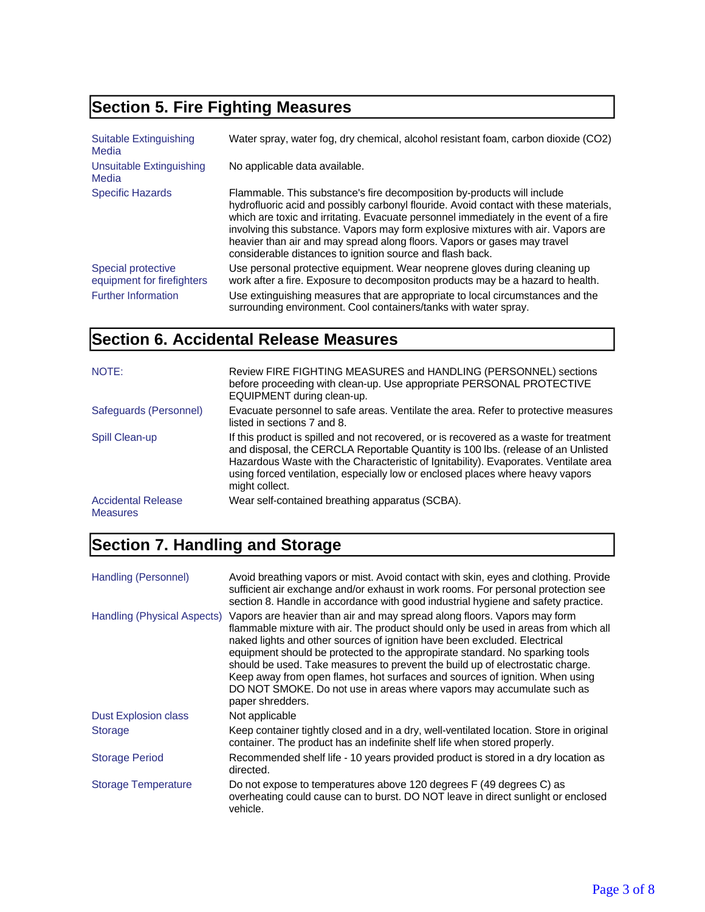## **Section 5. Fire Fighting Measures**

| <b>Suitable Extinguishing</b><br>Media           | Water spray, water fog, dry chemical, alcohol resistant foam, carbon dioxide (CO2)                                                                                                                                                                                                                                                                                                                                                                                                      |
|--------------------------------------------------|-----------------------------------------------------------------------------------------------------------------------------------------------------------------------------------------------------------------------------------------------------------------------------------------------------------------------------------------------------------------------------------------------------------------------------------------------------------------------------------------|
| Unsuitable Extinguishing<br>Media                | No applicable data available.                                                                                                                                                                                                                                                                                                                                                                                                                                                           |
| <b>Specific Hazards</b>                          | Flammable. This substance's fire decomposition by-products will include<br>hydrofluoric acid and possibly carbonyl flouride. Avoid contact with these materials,<br>which are toxic and irritating. Evacuate personnel immediately in the event of a fire<br>involving this substance. Vapors may form explosive mixtures with air. Vapors are<br>heavier than air and may spread along floors. Vapors or gases may travel<br>considerable distances to ignition source and flash back. |
| Special protective<br>equipment for firefighters | Use personal protective equipment. Wear neoprene gloves during cleaning up<br>work after a fire. Exposure to decompositon products may be a hazard to health.                                                                                                                                                                                                                                                                                                                           |
| <b>Further Information</b>                       | Use extinguishing measures that are appropriate to local circumstances and the<br>surrounding environment. Cool containers/tanks with water spray.                                                                                                                                                                                                                                                                                                                                      |

#### **Section 6. Accidental Release Measures**

| NOTE:                                        | Review FIRE FIGHTING MEASURES and HANDLING (PERSONNEL) sections<br>before proceeding with clean-up. Use appropriate PERSONAL PROTECTIVE<br>EQUIPMENT during clean-up.                                                                                                                                                                                                  |
|----------------------------------------------|------------------------------------------------------------------------------------------------------------------------------------------------------------------------------------------------------------------------------------------------------------------------------------------------------------------------------------------------------------------------|
| Safeguards (Personnel)                       | Evacuate personnel to safe areas. Ventilate the area. Refer to protective measures<br>listed in sections 7 and 8.                                                                                                                                                                                                                                                      |
| Spill Clean-up                               | If this product is spilled and not recovered, or is recovered as a waste for treatment<br>and disposal, the CERCLA Reportable Quantity is 100 lbs. (release of an Unlisted<br>Hazardous Waste with the Characteristic of Ignitability). Evaporates. Ventilate area<br>using forced ventilation, especially low or enclosed places where heavy vapors<br>might collect. |
| <b>Accidental Release</b><br><b>Measures</b> | Wear self-contained breathing apparatus (SCBA).                                                                                                                                                                                                                                                                                                                        |

## **Section 7. Handling and Storage**

| Handling (Personnel)        | Avoid breathing vapors or mist. Avoid contact with skin, eyes and clothing. Provide<br>sufficient air exchange and/or exhaust in work rooms. For personal protection see<br>section 8. Handle in accordance with good industrial hygiene and safety practice.                                                                                                                                                                                                                                                                                                                               |
|-----------------------------|---------------------------------------------------------------------------------------------------------------------------------------------------------------------------------------------------------------------------------------------------------------------------------------------------------------------------------------------------------------------------------------------------------------------------------------------------------------------------------------------------------------------------------------------------------------------------------------------|
| Handling (Physical Aspects) | Vapors are heavier than air and may spread along floors. Vapors may form<br>flammable mixture with air. The product should only be used in areas from which all<br>naked lights and other sources of ignition have been excluded. Electrical<br>equipment should be protected to the appropirate standard. No sparking tools<br>should be used. Take measures to prevent the build up of electrostatic charge.<br>Keep away from open flames, hot surfaces and sources of ignition. When using<br>DO NOT SMOKE. Do not use in areas where vapors may accumulate such as<br>paper shredders. |
| <b>Dust Explosion class</b> | Not applicable                                                                                                                                                                                                                                                                                                                                                                                                                                                                                                                                                                              |
| <b>Storage</b>              | Keep container tightly closed and in a dry, well-ventilated location. Store in original<br>container. The product has an indefinite shelf life when stored properly.                                                                                                                                                                                                                                                                                                                                                                                                                        |
| <b>Storage Period</b>       | Recommended shelf life - 10 years provided product is stored in a dry location as<br>directed.                                                                                                                                                                                                                                                                                                                                                                                                                                                                                              |
| <b>Storage Temperature</b>  | Do not expose to temperatures above 120 degrees F (49 degrees C) as<br>overheating could cause can to burst. DO NOT leave in direct sunlight or enclosed<br>vehicle.                                                                                                                                                                                                                                                                                                                                                                                                                        |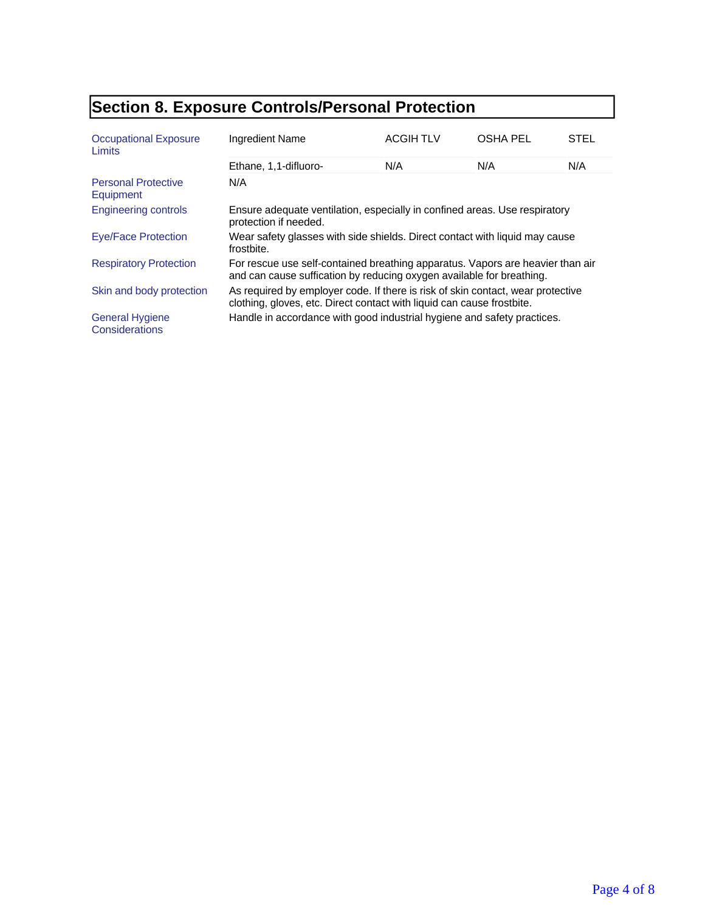## **Section 8. Exposure Controls/Personal Protection**

| <b>Occupational Exposure</b><br>Limits   | <b>Ingredient Name</b>                                                                                                                                    | <b>ACGIH TLV</b> | <b>OSHA PEL</b> | STEL |
|------------------------------------------|-----------------------------------------------------------------------------------------------------------------------------------------------------------|------------------|-----------------|------|
|                                          | Ethane, 1,1-difluoro-                                                                                                                                     | N/A              | N/A             | N/A  |
| <b>Personal Protective</b><br>Equipment  | N/A                                                                                                                                                       |                  |                 |      |
| <b>Engineering controls</b>              | Ensure adequate ventilation, especially in confined areas. Use respiratory<br>protection if needed.                                                       |                  |                 |      |
| Eye/Face Protection                      | Wear safety glasses with side shields. Direct contact with liquid may cause<br>frostbite.                                                                 |                  |                 |      |
| <b>Respiratory Protection</b>            | For rescue use self-contained breathing apparatus. Vapors are heavier than air<br>and can cause suffication by reducing oxygen available for breathing.   |                  |                 |      |
| Skin and body protection                 | As required by employer code. If there is risk of skin contact, wear protective<br>clothing, gloves, etc. Direct contact with liquid can cause frostbite. |                  |                 |      |
| <b>General Hygiene</b><br>Considerations | Handle in accordance with good industrial hygiene and safety practices.                                                                                   |                  |                 |      |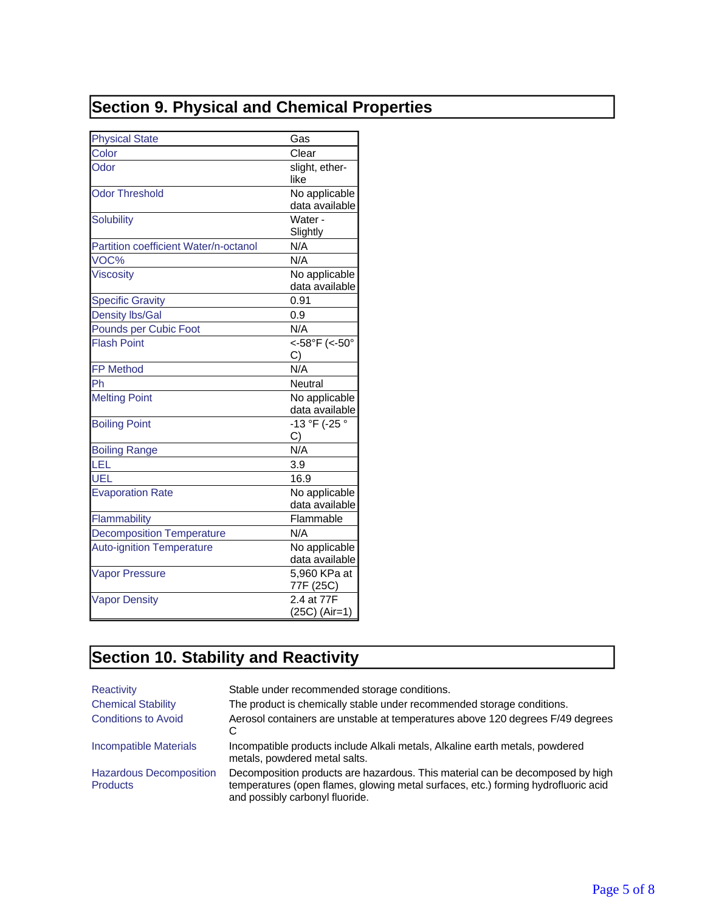## **Section 9. Physical and Chemical Properties**

| <b>Physical State</b>                 | Gas                             |
|---------------------------------------|---------------------------------|
| Color                                 | Clear                           |
| Odor                                  | slight, ether-<br>like          |
| Odor Threshold                        | No applicable<br>data available |
| <b>Solubility</b>                     | Water -<br>Slightly             |
| Partition coefficient Water/n-octanol | N/A                             |
| VOC%                                  | N/A                             |
| <b>Viscosity</b>                      | No applicable<br>data available |
| <b>Specific Gravity</b>               | 0.91                            |
| <b>Density lbs/Gal</b>                | 0.9                             |
| <b>Pounds per Cubic Foot</b>          | N/A                             |
| <b>Flash Point</b>                    | <-58°F (<-50°                   |
|                                       | C)                              |
| <b>FP Method</b>                      | N/A                             |
| Ph                                    | Neutral                         |
| <b>Melting Point</b>                  | No applicable<br>data available |
| <b>Boiling Point</b>                  | -13 °F (-25 °<br>C)             |
| <b>Boiling Range</b>                  | N/A                             |
| LEL                                   | 3.9                             |
| UEL                                   | 16.9                            |
| <b>Evaporation Rate</b>               | No applicable<br>data available |
| Flammability                          | Flammable                       |
| <b>Decomposition Temperature</b>      | N/A                             |
| <b>Auto-ignition Temperature</b>      | No applicable<br>data available |
| <b>Vapor Pressure</b>                 | 5,960 KPa at<br>77F (25C)       |
| <b>Vapor Density</b>                  | 2.4 at 77F<br>(25C) (Air=1)     |

# **Section 10. Stability and Reactivity**

| Reactivity                                        | Stable under recommended storage conditions.                                                                                                                                                           |
|---------------------------------------------------|--------------------------------------------------------------------------------------------------------------------------------------------------------------------------------------------------------|
| <b>Chemical Stability</b>                         | The product is chemically stable under recommended storage conditions.                                                                                                                                 |
| <b>Conditions to Avoid</b>                        | Aerosol containers are unstable at temperatures above 120 degrees F/49 degrees                                                                                                                         |
| Incompatible Materials                            | Incompatible products include Alkali metals, Alkaline earth metals, powdered<br>metals, powdered metal salts.                                                                                          |
| <b>Hazardous Decomposition</b><br><b>Products</b> | Decomposition products are hazardous. This material can be decomposed by high<br>temperatures (open flames, glowing metal surfaces, etc.) forming hydrofluoric acid<br>and possibly carbonyl fluoride. |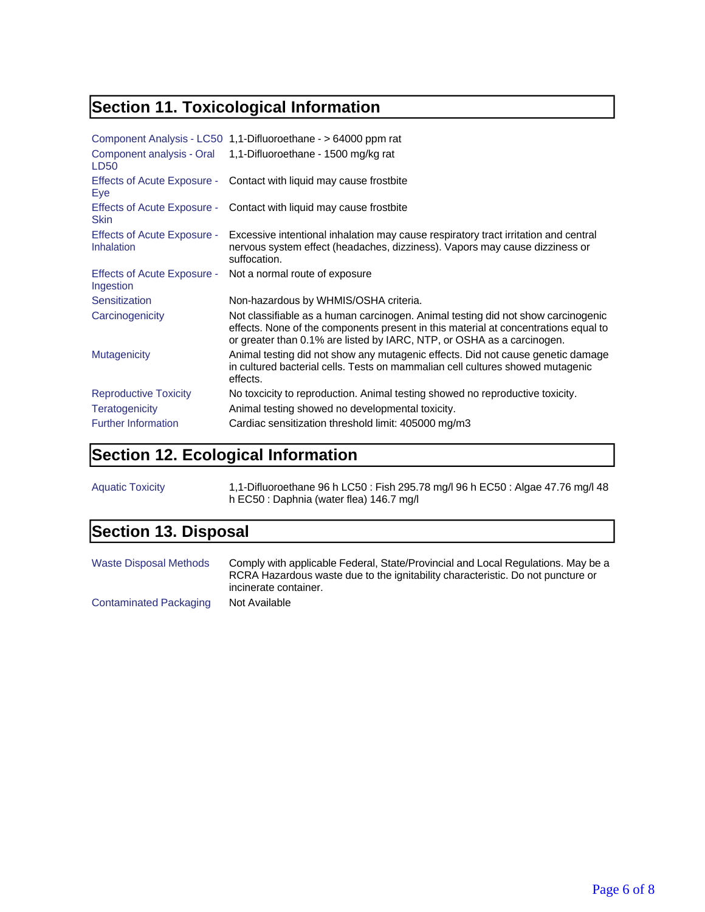## **Section 11. Toxicological Information**

|                                            | Component Analysis - LC50 1,1-Difluoroethane - > 64000 ppm rat                                                                                                                                                                                    |
|--------------------------------------------|---------------------------------------------------------------------------------------------------------------------------------------------------------------------------------------------------------------------------------------------------|
| Component analysis - Oral<br>LD50          | 1,1-Difluoroethane - 1500 mg/kg rat                                                                                                                                                                                                               |
| <b>Effects of Acute Exposure -</b><br>Eye  | Contact with liquid may cause frostbite                                                                                                                                                                                                           |
| Effects of Acute Exposure -<br><b>Skin</b> | Contact with liquid may cause frostbite                                                                                                                                                                                                           |
| Effects of Acute Exposure -<br>Inhalation  | Excessive intentional inhalation may cause respiratory tract irritation and central<br>nervous system effect (headaches, dizziness). Vapors may cause dizziness or<br>suffocation.                                                                |
| Effects of Acute Exposure -<br>Ingestion   | Not a normal route of exposure                                                                                                                                                                                                                    |
| Sensitization                              | Non-hazardous by WHMIS/OSHA criteria.                                                                                                                                                                                                             |
| Carcinogenicity                            | Not classifiable as a human carcinogen. Animal testing did not show carcinogenic<br>effects. None of the components present in this material at concentrations equal to<br>or greater than 0.1% are listed by IARC, NTP, or OSHA as a carcinogen. |
| <b>Mutagenicity</b>                        | Animal testing did not show any mutagenic effects. Did not cause genetic damage<br>in cultured bacterial cells. Tests on mammalian cell cultures showed mutagenic<br>effects.                                                                     |
| <b>Reproductive Toxicity</b>               | No toxcicity to reproduction. Animal testing showed no reproductive toxicity.                                                                                                                                                                     |
| Teratogenicity                             | Animal testing showed no developmental toxicity.                                                                                                                                                                                                  |
| <b>Further Information</b>                 | Cardiac sensitization threshold limit: 405000 mg/m3                                                                                                                                                                                               |

## **Section 12. Ecological Information**

| <b>Aquatic Toxicity</b> | 1,1-Difluoroethane 96 h LC50: Fish 295.78 mg/l 96 h EC50: Algae 47.76 mg/l 48 |
|-------------------------|-------------------------------------------------------------------------------|
|                         | h EC50 : Daphnia (water flea) 146.7 mg/l                                      |

#### **Section 13. Disposal**

| <b>Waste Disposal Methods</b> | Comply with applicable Federal, State/Provincial and Local Regulations. May be a<br>RCRA Hazardous waste due to the ignitability characteristic. Do not puncture or<br>incinerate container. |
|-------------------------------|----------------------------------------------------------------------------------------------------------------------------------------------------------------------------------------------|
| Contaminated Packaging        | Not Available                                                                                                                                                                                |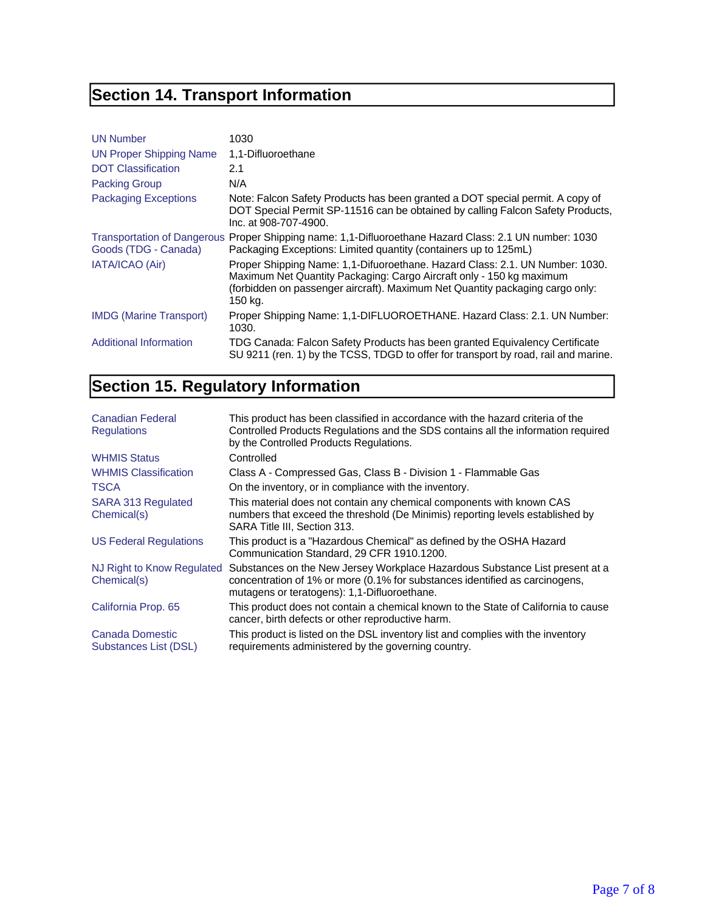# **Section 14. Transport Information**

| <b>UN Number</b>               | 1030                                                                                                                                                                                                                                             |
|--------------------------------|--------------------------------------------------------------------------------------------------------------------------------------------------------------------------------------------------------------------------------------------------|
| UN Proper Shipping Name        | 1,1-Difluoroethane                                                                                                                                                                                                                               |
| <b>DOT Classification</b>      | 2.1                                                                                                                                                                                                                                              |
| <b>Packing Group</b>           | N/A                                                                                                                                                                                                                                              |
| <b>Packaging Exceptions</b>    | Note: Falcon Safety Products has been granted a DOT special permit. A copy of<br>DOT Special Permit SP-11516 can be obtained by calling Falcon Safety Products,<br>Inc. at 908-707-4900.                                                         |
| Goods (TDG - Canada)           | Transportation of Dangerous Proper Shipping name: 1,1-Difluoroethane Hazard Class: 2.1 UN number: 1030<br>Packaging Exceptions: Limited quantity (containers up to 125mL)                                                                        |
| <b>IATA/ICAO (Air)</b>         | Proper Shipping Name: 1,1-Difuoroethane. Hazard Class: 2.1. UN Number: 1030.<br>Maximum Net Quantity Packaging: Cargo Aircraft only - 150 kg maximum<br>(forbidden on passenger aircraft). Maximum Net Quantity packaging cargo only:<br>150 kg. |
| <b>IMDG</b> (Marine Transport) | Proper Shipping Name: 1,1-DIFLUOROETHANE. Hazard Class: 2.1. UN Number:<br>1030.                                                                                                                                                                 |
| Additional Information         | TDG Canada: Falcon Safety Products has been granted Equivalency Certificate<br>SU 9211 (ren. 1) by the TCSS, TDGD to offer for transport by road, rail and marine.                                                                               |

## **Section 15. Regulatory Information**

| Canadian Federal<br><b>Regulations</b>    | This product has been classified in accordance with the hazard criteria of the<br>Controlled Products Regulations and the SDS contains all the information required<br>by the Controlled Products Regulations. |
|-------------------------------------------|----------------------------------------------------------------------------------------------------------------------------------------------------------------------------------------------------------------|
| <b>WHMIS Status</b>                       | Controlled                                                                                                                                                                                                     |
| <b>WHMIS Classification</b>               | Class A - Compressed Gas, Class B - Division 1 - Flammable Gas                                                                                                                                                 |
| <b>TSCA</b>                               | On the inventory, or in compliance with the inventory.                                                                                                                                                         |
| SARA 313 Regulated<br>Chemical(s)         | This material does not contain any chemical components with known CAS<br>numbers that exceed the threshold (De Minimis) reporting levels established by<br>SARA Title III, Section 313.                        |
| <b>US Federal Regulations</b>             | This product is a "Hazardous Chemical" as defined by the OSHA Hazard<br>Communication Standard, 29 CFR 1910.1200.                                                                                              |
| NJ Right to Know Regulated<br>Chemical(s) | Substances on the New Jersey Workplace Hazardous Substance List present at a<br>concentration of 1% or more (0.1% for substances identified as carcinogens,<br>mutagens or teratogens): 1,1-Difluoroethane.    |
| California Prop. 65                       | This product does not contain a chemical known to the State of California to cause<br>cancer, birth defects or other reproductive harm.                                                                        |
| Canada Domestic<br>Substances List (DSL)  | This product is listed on the DSL inventory list and complies with the inventory<br>requirements administered by the governing country.                                                                        |